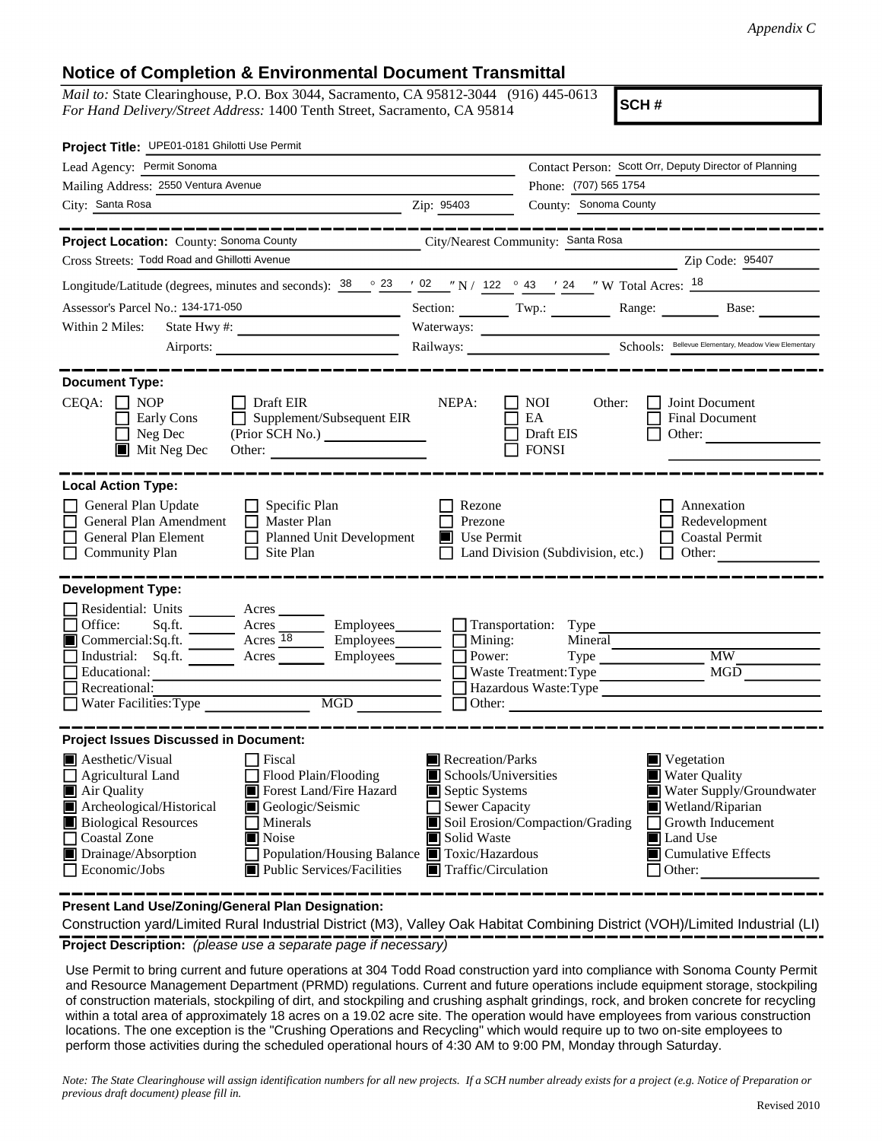## **Notice of Completion & Environmental Document Transmittal**

*Mail to:* State Clearinghouse, P.O. Box 3044, Sacramento, CA 95812-3044 (916) 445-0613 *For Hand Delivery/Street Address:* 1400 Tenth Street, Sacramento, CA 95814

**SCH #**

| Project Title: UPE01-0181 Ghilotti Use Permit                                                                                                                                                                                                                                                                                                                                                     |                                                                                                                                   |                                                           |                                                                                                                                                                                             |  |
|---------------------------------------------------------------------------------------------------------------------------------------------------------------------------------------------------------------------------------------------------------------------------------------------------------------------------------------------------------------------------------------------------|-----------------------------------------------------------------------------------------------------------------------------------|-----------------------------------------------------------|---------------------------------------------------------------------------------------------------------------------------------------------------------------------------------------------|--|
| Lead Agency: Permit Sonoma                                                                                                                                                                                                                                                                                                                                                                        |                                                                                                                                   |                                                           | Contact Person: Scott Orr, Deputy Director of Planning                                                                                                                                      |  |
| Mailing Address: 2550 Ventura Avenue                                                                                                                                                                                                                                                                                                                                                              |                                                                                                                                   | Phone: (707) 565 1754                                     |                                                                                                                                                                                             |  |
| City: Santa Rosa<br>$\frac{1}{2}$ $\frac{1}{2}$ $\frac{1}{2}$ $\frac{1}{2}$ $\frac{1}{2}$ $\frac{1}{2}$ $\frac{1}{2}$ $\frac{1}{2}$ $\frac{1}{2}$ $\frac{1}{2}$ $\frac{1}{2}$ $\frac{1}{2}$ $\frac{1}{2}$ $\frac{1}{2}$ $\frac{1}{2}$ $\frac{1}{2}$ $\frac{1}{2}$ $\frac{1}{2}$ $\frac{1}{2}$ $\frac{1}{2}$ $\frac{1}{2}$ $\frac{1}{2}$                                                           |                                                                                                                                   | County: Sonoma County                                     |                                                                                                                                                                                             |  |
| -----------                                                                                                                                                                                                                                                                                                                                                                                       |                                                                                                                                   |                                                           |                                                                                                                                                                                             |  |
| Project Location: County: Sonoma County                                                                                                                                                                                                                                                                                                                                                           | City/Nearest Community: Santa Rosa                                                                                                |                                                           |                                                                                                                                                                                             |  |
| Cross Streets: Todd Road and Ghillotti Avenue                                                                                                                                                                                                                                                                                                                                                     |                                                                                                                                   |                                                           | Zip Code: 95407                                                                                                                                                                             |  |
| Longitude/Latitude (degrees, minutes and seconds): $38 \cdot 23$ / 02 / N / 122 $\circ$ 43 / 24 / W Total Acres: $18$                                                                                                                                                                                                                                                                             |                                                                                                                                   |                                                           |                                                                                                                                                                                             |  |
| Assessor's Parcel No.: 134-171-050<br><u> 1980 - Johann Barn, mars an t-Amerikaansk kommunister (</u>                                                                                                                                                                                                                                                                                             |                                                                                                                                   |                                                           | Section: Twp.: Range: Base:                                                                                                                                                                 |  |
| Within 2 Miles:                                                                                                                                                                                                                                                                                                                                                                                   |                                                                                                                                   |                                                           |                                                                                                                                                                                             |  |
|                                                                                                                                                                                                                                                                                                                                                                                                   |                                                                                                                                   |                                                           |                                                                                                                                                                                             |  |
| <b>Document Type:</b>                                                                                                                                                                                                                                                                                                                                                                             |                                                                                                                                   |                                                           |                                                                                                                                                                                             |  |
| $CEQA: \Box NP$<br>$\Box$ Draft EIR<br>$\Box$ Supplement/Subsequent EIR<br>Early Cons<br>$\Box$ Neg Dec<br>Mit Neg Dec<br>Other:                                                                                                                                                                                                                                                                  | NEPA:                                                                                                                             | NOI<br>Other:<br>EA<br>Draft EIS<br>$\Box$ FONSI          | Joint Document<br>Final Document<br>Other:                                                                                                                                                  |  |
| <b>Local Action Type:</b>                                                                                                                                                                                                                                                                                                                                                                         |                                                                                                                                   |                                                           |                                                                                                                                                                                             |  |
| General Plan Update<br>$\Box$ Specific Plan<br>General Plan Amendment<br>$\Box$ Master Plan<br>General Plan Element<br>Planned Unit Development<br>$\Box$ Site Plan<br><b>Community Plan</b>                                                                                                                                                                                                      | Rezone<br>Prezone<br>$\blacksquare$ Use Permit                                                                                    | $\Box$ Land Division (Subdivision, etc.) $\Box$ Other:    | Annexation<br>Redevelopment<br>Coastal Permit                                                                                                                                               |  |
| <b>Development Type:</b>                                                                                                                                                                                                                                                                                                                                                                          |                                                                                                                                   |                                                           |                                                                                                                                                                                             |  |
| Residential: Units ________ Acres _____<br>Sq.ft. ________ Acres __________ Employees ________ ___ Transportation: Type<br>Office:<br>Commercial:Sq.ft. _______ Acres 18<br>Employees<br>Industrial: Sq.ft. <u>Acres</u> Acres Employees<br>Educational:<br>Recreational:<br>$\overline{\text{MGD}}$<br>$\Box$ Water Facilities: Type                                                             | $\Box$ Mining:<br>Power:<br>$\Box$ Other:                                                                                         | Mineral<br>Waste Treatment: Type<br>Hazardous Waste: Type | $\overline{\text{MW}}$<br>MGD                                                                                                                                                               |  |
| <b>Project Issues Discussed in Document:</b>                                                                                                                                                                                                                                                                                                                                                      |                                                                                                                                   |                                                           |                                                                                                                                                                                             |  |
| <b>A</b> esthetic/Visual<br>$\Box$ Fiscal<br>Flood Plain/Flooding<br>$\Box$ Agricultural Land<br>Forest Land/Fire Hazard<br>Air Quality<br>Archeological/Historical<br>Geologic/Seismic<br><b>Biological Resources</b><br>  Minerals<br>Coastal Zone<br><b>Noise</b><br>Drainage/Absorption<br>Population/Housing Balance Toxic/Hazardous<br>$\Box$ Economic/Jobs<br>■ Public Services/Facilities | Recreation/Parks<br>Schools/Universities<br>Septic Systems<br>Sewer Capacity<br>Solid Waste<br>$\blacksquare$ Traffic/Circulation | Soil Erosion/Compaction/Grading                           | $\blacksquare$ Vegetation<br><b>Water Quality</b><br>Water Supply/Groundwater<br>Wetland/Riparian<br>$\Box$ Growth Inducement<br><b>I</b> Land Use<br>■ Cumulative Effects<br>$\Box$ Other: |  |

**Present Land Use/Zoning/General Plan Designation:**

**Project Description:** *(please use a separate page if necessary)* Construction yard/Limited Rural Industrial District (M3), Valley Oak Habitat Combining District (VOH)/Limited Industrial (LI)

 Use Permit to bring current and future operations at 304 Todd Road construction yard into compliance with Sonoma County Permit and Resource Management Department (PRMD) regulations. Current and future operations include equipment storage, stockpiling of construction materials, stockpiling of dirt, and stockpiling and crushing asphalt grindings, rock, and broken concrete for recycling within a total area of approximately 18 acres on a 19.02 acre site. The operation would have employees from various construction locations. The one exception is the "Crushing Operations and Recycling" which would require up to two on-site employees to perform those activities during the scheduled operational hours of 4:30 AM to 9:00 PM, Monday through Saturday.

*Note: The State Clearinghouse will assign identification numbers for all new projects. If a SCH number already exists for a project (e.g. Notice of Preparation or previous draft document) please fill in.*